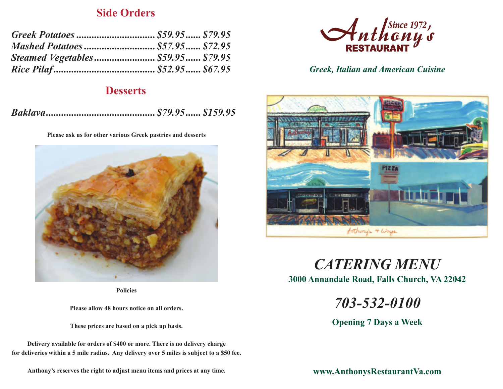### **Side Orders**

| Steamed Vegetables \$59.95 \$79.95 |  |
|------------------------------------|--|
|                                    |  |

### **Desserts**

|--|--|--|--|

**Please ask us for other various Greek pastries and desserts**



**Policies**

**Please allow 48 hours notice on all orders.**

**These prices are based on a pick up basis.**

**Delivery available for orders of \$400 or more. There is no delivery charge for deliveries within a 5 mile radius. Any delivery over 5 miles is subject to a \$50 fee.**

**Anthony's reserves the right to adjust menu items and prices at any time.**



*Greek, Italian and American Cuisine*



**3000 Annandale Road, Falls Church, VA 22042** *CATERING MENU*

*703-532-0100*

**Opening 7 Days a Week**

**www.AnthonysRestaurantVa.com**